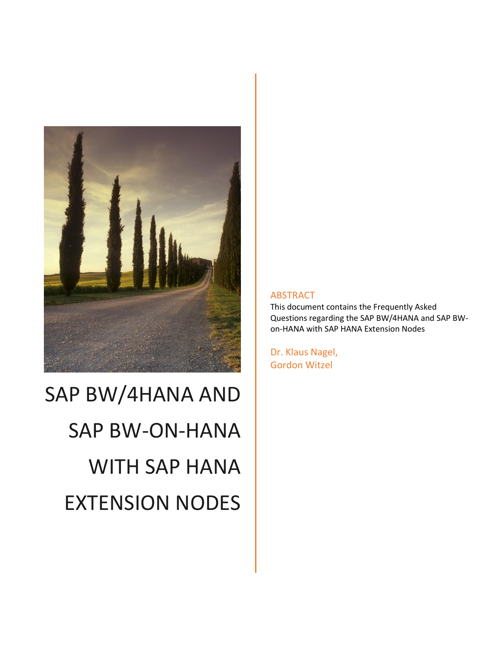

# SAP BW/4HANA AND SAP BW-ON-HANA WITH SAP HANA EXTENSION NODES

#### ABSTRACT

This document contains the Frequently Asked Questions regarding the SAP BW/4HANA and SAP BWon-HANA with SAP HANA Extension Nodes

Dr. Klaus Nagel, Gordon Witzel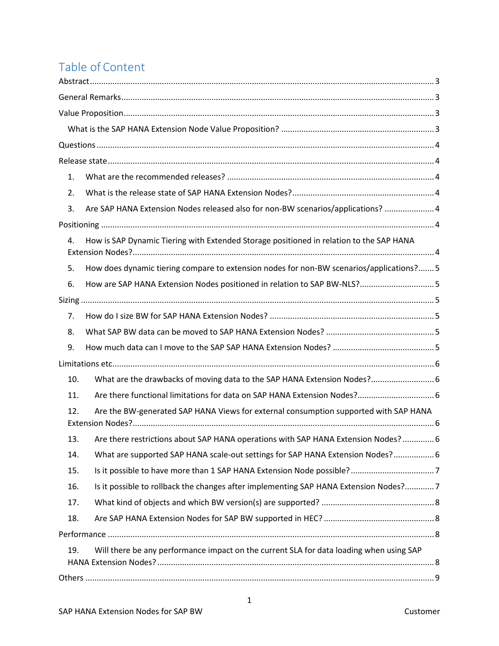## Table of Content

| 1.                                                                                             |  |
|------------------------------------------------------------------------------------------------|--|
| 2.                                                                                             |  |
| Are SAP HANA Extension Nodes released also for non-BW scenarios/applications?  4<br>3.         |  |
|                                                                                                |  |
| How is SAP Dynamic Tiering with Extended Storage positioned in relation to the SAP HANA<br>4.  |  |
| How does dynamic tiering compare to extension nodes for non-BW scenarios/applications? 5<br>5. |  |
| 6.                                                                                             |  |
|                                                                                                |  |
| 7.                                                                                             |  |
| 8.                                                                                             |  |
| 9.                                                                                             |  |
|                                                                                                |  |
| What are the drawbacks of moving data to the SAP HANA Extension Nodes? 6<br>10.                |  |
| Are there functional limitations for data on SAP HANA Extension Nodes? 6<br>11.                |  |
| Are the BW-generated SAP HANA Views for external consumption supported with SAP HANA<br>12.    |  |
| Are there restrictions about SAP HANA operations with SAP HANA Extension Nodes?  6<br>13.      |  |
| What are supported SAP HANA scale-out settings for SAP HANA Extension Nodes? 6<br>14.          |  |
| 15.                                                                                            |  |
| Is it possible to rollback the changes after implementing SAP HANA Extension Nodes?7<br>16.    |  |
| 17.                                                                                            |  |
| 18.                                                                                            |  |
|                                                                                                |  |
| Will there be any performance impact on the current SLA for data loading when using SAP<br>19. |  |
|                                                                                                |  |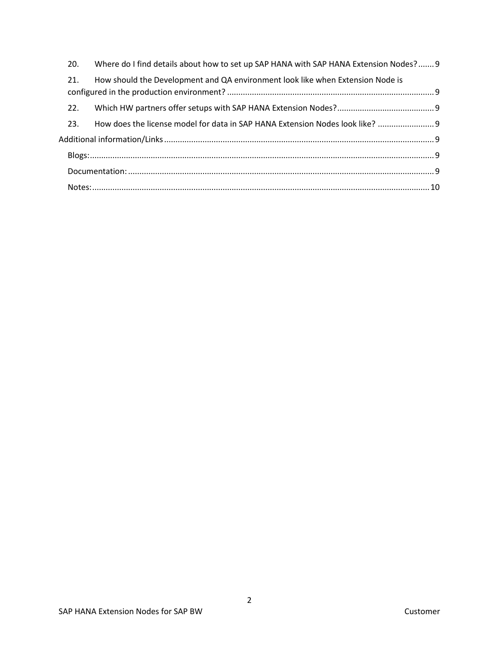| 20. | Where do I find details about how to set up SAP HANA with SAP HANA Extension Nodes? 9 |  |  |  |
|-----|---------------------------------------------------------------------------------------|--|--|--|
| 21. | How should the Development and QA environment look like when Extension Node is        |  |  |  |
| 22. |                                                                                       |  |  |  |
| 23. | How does the license model for data in SAP HANA Extension Nodes look like?  9         |  |  |  |
|     |                                                                                       |  |  |  |
|     |                                                                                       |  |  |  |
|     |                                                                                       |  |  |  |
|     |                                                                                       |  |  |  |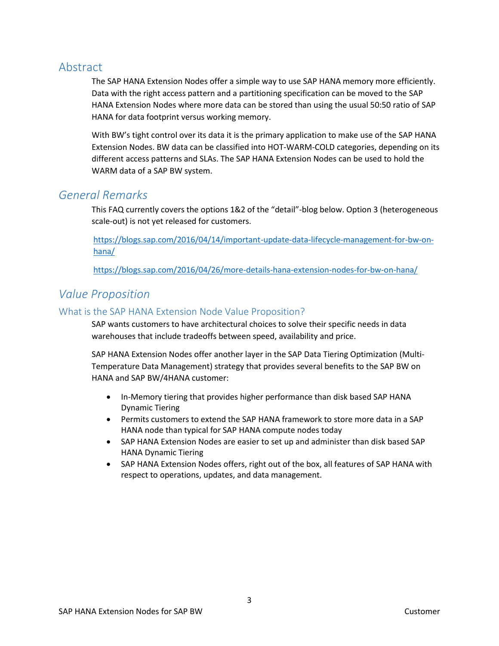## <span id="page-3-0"></span>Abstract

The SAP HANA Extension Nodes offer a simple way to use SAP HANA memory more efficiently. Data with the right access pattern and a partitioning specification can be moved to the SAP HANA Extension Nodes where more data can be stored than using the usual 50:50 ratio of SAP HANA for data footprint versus working memory.

With BW's tight control over its data it is the primary application to make use of the SAP HANA Extension Nodes. BW data can be classified into HOT-WARM-COLD categories, depending on its different access patterns and SLAs. The SAP HANA Extension Nodes can be used to hold the WARM data of a SAP BW system.

## <span id="page-3-1"></span>*General Remarks*

This FAQ currently covers the options 1&2 of the "detail"-blog below. Option 3 (heterogeneous scale-out) is not yet released for customers.

[https://blogs.sap.com/2016/04/14/important-update-data-lifecycle-management-for-bw-on](https://blogs.sap.com/2016/04/14/important-update-data-lifecycle-management-for-bw-on-hana/)[hana/](https://blogs.sap.com/2016/04/14/important-update-data-lifecycle-management-for-bw-on-hana/)

<https://blogs.sap.com/2016/04/26/more-details-hana-extension-nodes-for-bw-on-hana/>

## <span id="page-3-2"></span>*Value Proposition*

#### <span id="page-3-3"></span>What is the SAP HANA Extension Node Value Proposition?

SAP wants customers to have architectural choices to solve their specific needs in data warehouses that include tradeoffs between speed, availability and price.

SAP HANA Extension Nodes offer another layer in the SAP Data Tiering Optimization (Multi-Temperature Data Management) strategy that provides several benefits to the SAP BW on HANA and SAP BW/4HANA customer:

- In-Memory tiering that provides higher performance than disk based SAP HANA Dynamic Tiering
- Permits customers to extend the SAP HANA framework to store more data in a SAP HANA node than typical for SAP HANA compute nodes today
- SAP HANA Extension Nodes are easier to set up and administer than disk based SAP HANA Dynamic Tiering
- SAP HANA Extension Nodes offers, right out of the box, all features of SAP HANA with respect to operations, updates, and data management.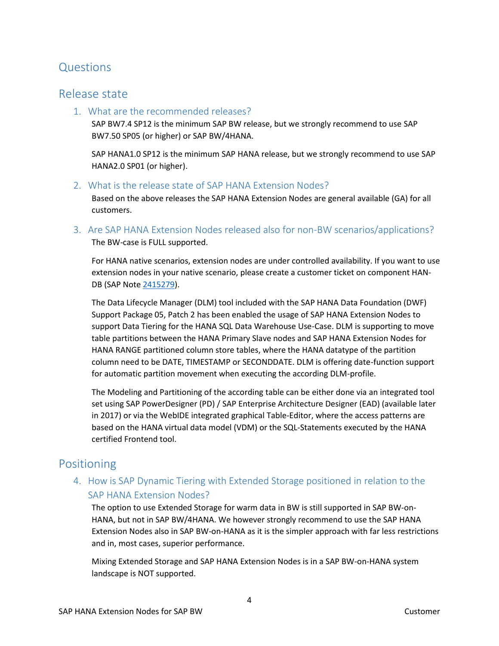## <span id="page-4-0"></span>Questions

## <span id="page-4-2"></span><span id="page-4-1"></span>Release state

1. What are the recommended releases?

SAP BW7.4 SP12 is the minimum SAP BW release, but we strongly recommend to use SAP BW7.50 SP05 (or higher) or SAP BW/4HANA.

SAP HANA1.0 SP12 is the minimum SAP HANA release, but we strongly recommend to use SAP HANA2.0 SP01 (or higher).

<span id="page-4-3"></span>2. What is the release state of SAP HANA Extension Nodes?

Based on the above releases the SAP HANA Extension Nodes are general available (GA) for all customers.

<span id="page-4-4"></span>3. Are SAP HANA Extension Nodes released also for non-BW scenarios/applications? The BW-case is FULL supported.

For HANA native scenarios, extension nodes are under controlled availability. If you want to use extension nodes in your native scenario, please create a customer ticket on component HAN-DB (SAP Note [2415279\)](hhttps://launchpad.support.sap.com/#/notes/2415279/E).

The Data Lifecycle Manager (DLM) tool included with the SAP HANA Data Foundation (DWF) Support Package 05, Patch 2 has been enabled the usage of SAP HANA Extension Nodes to support Data Tiering for the HANA SQL Data Warehouse Use-Case. DLM is supporting to move table partitions between the HANA Primary Slave nodes and SAP HANA Extension Nodes for HANA RANGE partitioned column store tables, where the HANA datatype of the partition column need to be DATE, TIMESTAMP or SECONDDATE. DLM is offering date-function support for automatic partition movement when executing the according DLM-profile.

The Modeling and Partitioning of the according table can be either done via an integrated tool set using SAP PowerDesigner (PD) / SAP Enterprise Architecture Designer (EAD) (available later in 2017) or via the WebIDE integrated graphical Table-Editor, where the access patterns are based on the HANA virtual data model (VDM) or the SQL-Statements executed by the HANA certified Frontend tool.

## <span id="page-4-6"></span><span id="page-4-5"></span>Positioning

#### 4. How is SAP Dynamic Tiering with Extended Storage positioned in relation to the SAP HANA Extension Nodes?

The option to use Extended Storage for warm data in BW is still supported in SAP BW-on-HANA, but not in SAP BW/4HANA. We however strongly recommend to use the SAP HANA Extension Nodes also in SAP BW-on-HANA as it is the simpler approach with far less restrictions and in, most cases, superior performance.

Mixing Extended Storage and SAP HANA Extension Nodes is in a SAP BW-on-HANA system landscape is NOT supported.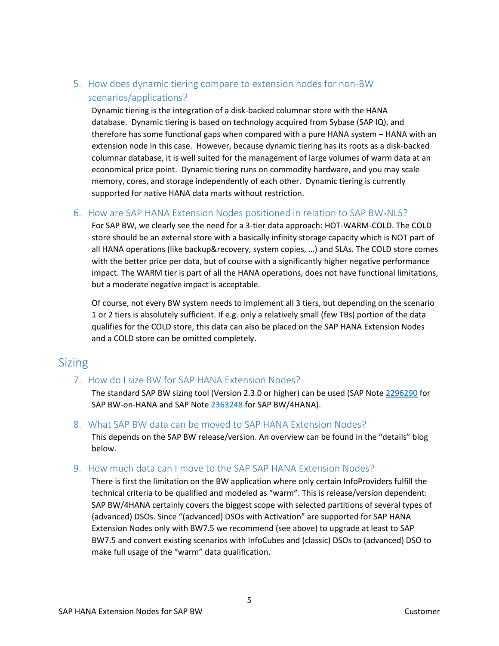## <span id="page-5-0"></span>5. How does dynamic tiering compare to extension nodes for non-BW scenarios/applications?

Dynamic tiering is the integration of a disk-backed columnar store with the HANA database. Dynamic tiering is based on technology acquired from Sybase (SAP IQ), and therefore has some functional gaps when compared with a pure HANA system – HANA with an extension node in this case. However, because dynamic tiering has its roots as a disk-backed columnar database, it is well suited for the management of large volumes of warm data at an economical price point. Dynamic tiering runs on commodity hardware, and you may scale memory, cores, and storage independently of each other. Dynamic tiering is currently supported for native HANA data marts without restriction.

#### <span id="page-5-1"></span>6. How are SAP HANA Extension Nodes positioned in relation to SAP BW-NLS?

For SAP BW, we clearly see the need for a 3-tier data approach: HOT-WARM-COLD. The COLD store should be an external store with a basically infinity storage capacity which is NOT part of all HANA operations (like backup&recovery, system copies, …) and SLAs. The COLD store comes with the better price per data, but of course with a significantly higher negative performance impact. The WARM tier is part of all the HANA operations, does not have functional limitations, but a moderate negative impact is acceptable.

Of course, not every BW system needs to implement all 3 tiers, but depending on the scenario 1 or 2 tiers is absolutely sufficient. If e.g. only a relatively small (few TBs) portion of the data qualifies for the COLD store, this data can also be placed on the SAP HANA Extension Nodes and a COLD store can be omitted completely.

## <span id="page-5-3"></span><span id="page-5-2"></span>Sizing

#### 7. How do I size BW for SAP HANA Extension Nodes?

The standard SAP BW sizing tool (Version 2.3.0 or higher) can be used (SAP Note [2296290](https://launchpad.support.sap.com/#/notes/2296290/E) for SAP BW-on-HANA and SAP Note [2363248](https://launchpad.support.sap.com/#/notes/2363248/E) for SAP BW/4HANA).

#### <span id="page-5-4"></span>8. What SAP BW data can be moved to SAP HANA Extension Nodes?

This depends on the SAP BW release/version. An overview can be found in the "details" blog below.

#### <span id="page-5-5"></span>9. How much data can I move to the SAP SAP HANA Extension Nodes?

There is first the limitation on the BW application where only certain InfoProviders fulfill the technical criteria to be qualified and modeled as "warm". This is release/version dependent: SAP BW/4HANA certainly covers the biggest scope with selected partitions of several types of (advanced) DSOs. Since "(advanced) DSOs with Activation" are supported for SAP HANA Extension Nodes only with BW7.5 we recommend (see above) to upgrade at least to SAP BW7.5 and convert existing scenarios with InfoCubes and (classic) DSOs to (advanced) DSO to make full usage of the "warm" data qualification.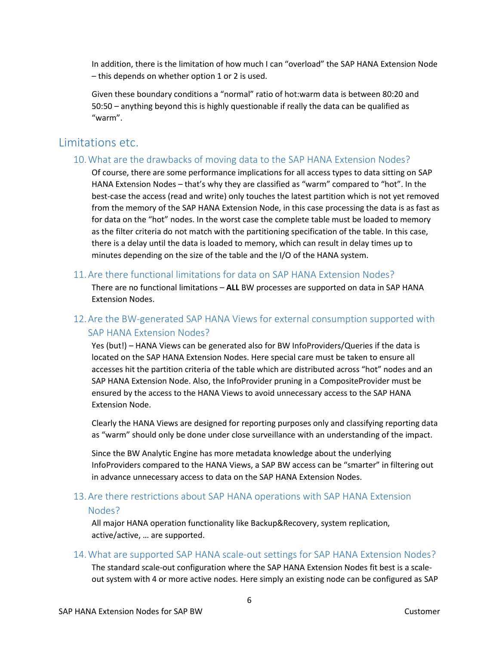In addition, there is the limitation of how much I can "overload" the SAP HANA Extension Node – this depends on whether option 1 or 2 is used.

Given these boundary conditions a "normal" ratio of hot:warm data is between 80:20 and 50:50 – anything beyond this is highly questionable if really the data can be qualified as "warm".

## <span id="page-6-1"></span><span id="page-6-0"></span>Limitations etc.

#### 10.What are the drawbacks of moving data to the SAP HANA Extension Nodes?

Of course, there are some performance implications for all access types to data sitting on SAP HANA Extension Nodes – that's why they are classified as "warm" compared to "hot". In the best-case the access (read and write) only touches the latest partition which is not yet removed from the memory of the SAP HANA Extension Node, in this case processing the data is as fast as for data on the "hot" nodes. In the worst case the complete table must be loaded to memory as the filter criteria do not match with the partitioning specification of the table. In this case, there is a delay until the data is loaded to memory, which can result in delay times up to minutes depending on the size of the table and the I/O of the HANA system.

#### <span id="page-6-2"></span>11.Are there functional limitations for data on SAP HANA Extension Nodes?

There are no functional limitations – **ALL** BW processes are supported on data in SAP HANA Extension Nodes.

#### <span id="page-6-3"></span>12.Are the BW-generated SAP HANA Views for external consumption supported with SAP HANA Extension Nodes?

Yes (but!) – HANA Views can be generated also for BW InfoProviders/Queries if the data is located on the SAP HANA Extension Nodes. Here special care must be taken to ensure all accesses hit the partition criteria of the table which are distributed across "hot" nodes and an SAP HANA Extension Node. Also, the InfoProvider pruning in a CompositeProvider must be ensured by the access to the HANA Views to avoid unnecessary access to the SAP HANA Extension Node.

Clearly the HANA Views are designed for reporting purposes only and classifying reporting data as "warm" should only be done under close surveillance with an understanding of the impact.

Since the BW Analytic Engine has more metadata knowledge about the underlying InfoProviders compared to the HANA Views, a SAP BW access can be "smarter" in filtering out in advance unnecessary access to data on the SAP HANA Extension Nodes.

#### <span id="page-6-4"></span>13.Are there restrictions about SAP HANA operations with SAP HANA Extension

#### Nodes?

All major HANA operation functionality like Backup&Recovery, system replication, active/active, … are supported.

#### <span id="page-6-5"></span>14.What are supported SAP HANA scale-out settings for SAP HANA Extension Nodes?

The standard scale-out configuration where the SAP HANA Extension Nodes fit best is a scaleout system with 4 or more active nodes. Here simply an existing node can be configured as SAP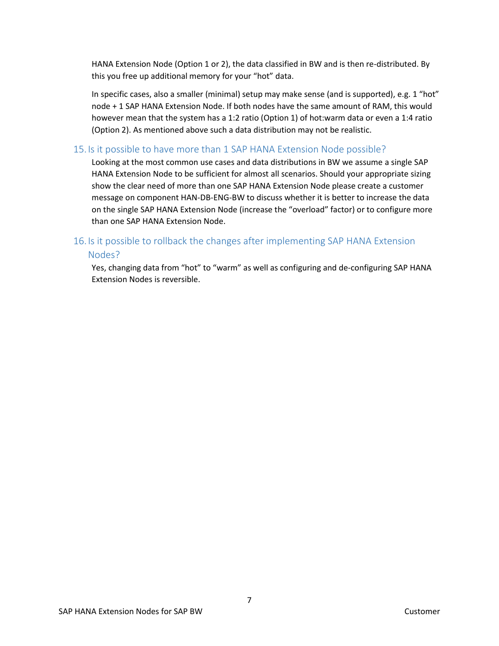HANA Extension Node (Option 1 or 2), the data classified in BW and is then re-distributed. By this you free up additional memory for your "hot" data.

In specific cases, also a smaller (minimal) setup may make sense (and is supported), e.g. 1 "hot" node + 1 SAP HANA Extension Node. If both nodes have the same amount of RAM, this would however mean that the system has a 1:2 ratio (Option 1) of hot:warm data or even a 1:4 ratio (Option 2). As mentioned above such a data distribution may not be realistic.

#### <span id="page-7-0"></span>15. Is it possible to have more than 1 SAP HANA Extension Node possible?

Looking at the most common use cases and data distributions in BW we assume a single SAP HANA Extension Node to be sufficient for almost all scenarios. Should your appropriate sizing show the clear need of more than one SAP HANA Extension Node please create a customer message on component HAN-DB-ENG-BW to discuss whether it is better to increase the data on the single SAP HANA Extension Node (increase the "overload" factor) or to configure more than one SAP HANA Extension Node.

#### <span id="page-7-1"></span>16. Is it possible to rollback the changes after implementing SAP HANA Extension

#### Nodes?

Yes, changing data from "hot" to "warm" as well as configuring and de-configuring SAP HANA Extension Nodes is reversible.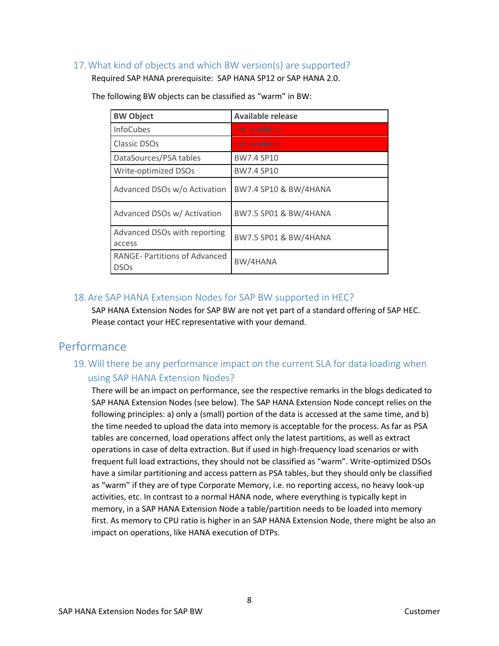#### <span id="page-8-0"></span>17.What kind of objects and which BW version(s) are supported?

Required SAP HANA prerequisite: SAP HANA SP12 or SAP HANA 2.0.

| <b>BW Object</b>                                   | <b>Available release</b>         |
|----------------------------------------------------|----------------------------------|
| <b>InfoCubes</b>                                   | not available                    |
| Classic DSOs                                       | not available                    |
| DataSources/PSA tables                             | <b>BW7.4 SP10</b>                |
| Write-optimized DSOs                               | <b>BW7.4 SP10</b>                |
| Advanced DSOs w/o Activation                       | BW7.4 SP10 & BW/4HANA            |
| Advanced DSOs w/ Activation                        | <b>BW7.5 SP01 &amp; BW/4HANA</b> |
| Advanced DSOs with reporting<br>access             | <b>BW7.5 SP01 &amp; BW/4HANA</b> |
| <b>RANGE-Partitions of Advanced</b><br><b>DSOs</b> | BW/4HANA                         |

The following BW objects can be classified as "warm" in BW:

#### <span id="page-8-1"></span>18.Are SAP HANA Extension Nodes for SAP BW supported in HEC?

SAP HANA Extension Nodes for SAP BW are not yet part of a standard offering of SAP HEC. Please contact your HEC representative with your demand.

## <span id="page-8-3"></span><span id="page-8-2"></span>Performance

### 19.Will there be any performance impact on the current SLA for data loading when using SAP HANA Extension Nodes?

There will be an impact on performance, see the respective remarks in the blogs dedicated to SAP HANA Extension Nodes (see below). The SAP HANA Extension Node concept relies on the following principles: a) only a (small) portion of the data is accessed at the same time, and b) the time needed to upload the data into memory is acceptable for the process. As far as PSA tables are concerned, load operations affect only the latest partitions, as well as extract operations in case of delta extraction. But if used in high-frequency load scenarios or with frequent full load extractions, they should not be classified as "warm". Write-optimized DSOs have a similar partitioning and access pattern as PSA tables, but they should only be classified as "warm" if they are of type Corporate Memory, i.e. no reporting access, no heavy look-up activities, etc. In contrast to a normal HANA node, where everything is typically kept in memory, in a SAP HANA Extension Node a table/partition needs to be loaded into memory first. As memory to CPU ratio is higher in an SAP HANA Extension Node, there might be also an impact on operations, like HANA execution of DTPs.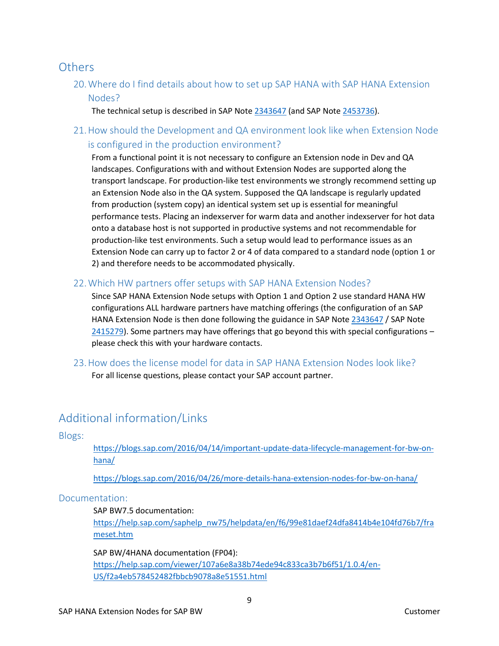## <span id="page-9-1"></span><span id="page-9-0"></span>**Others**

20.Where do I find details about how to set up SAP HANA with SAP HANA Extension Nodes?

The technical setup is described in SAP Note [2343647](https://launchpad.support.sap.com/#/notes/2343647/E) (and SAP Not[e 2453736\)](https://launchpad.support.sap.com/#/notes/2453736).

<span id="page-9-2"></span>21.How should the Development and QA environment look like when Extension Node is configured in the production environment?

From a functional point it is not necessary to configure an Extension node in Dev and QA landscapes. Configurations with and without Extension Nodes are supported along the transport landscape. For production-like test environments we strongly recommend setting up an Extension Node also in the QA system. Supposed the QA landscape is regularly updated from production (system copy) an identical system set up is essential for meaningful performance tests. Placing an indexserver for warm data and another indexserver for hot data onto a database host is not supported in productive systems and not recommendable for production-like test environments. Such a setup would lead to performance issues as an Extension Node can carry up to factor 2 or 4 of data compared to a standard node (option 1 or 2) and therefore needs to be accommodated physically.

<span id="page-9-3"></span>22.Which HW partners offer setups with SAP HANA Extension Nodes?

Since SAP HANA Extension Node setups with Option 1 and Option 2 use standard HANA HW configurations ALL hardware partners have matching offerings (the configuration of an SAP HANA Extension Node is then done following the guidance in SAP Not[e 2343647](https://launchpad.support.sap.com/#/notes/2343647/E) / SAP Note  $2415279$ ). Some partners may have offerings that go beyond this with special configurations – please check this with your hardware contacts.

<span id="page-9-4"></span>23.How does the license model for data in SAP HANA Extension Nodes look like? For all license questions, please contact your SAP account partner.

## <span id="page-9-5"></span>Additional information/Links

<span id="page-9-6"></span>Blogs:

[https://blogs.sap.com/2016/04/14/important-update-data-lifecycle-management-for-bw-on](https://blogs.sap.com/2016/04/14/important-update-data-lifecycle-management-for-bw-on-hana/)[hana/](https://blogs.sap.com/2016/04/14/important-update-data-lifecycle-management-for-bw-on-hana/)

<https://blogs.sap.com/2016/04/26/more-details-hana-extension-nodes-for-bw-on-hana/>

#### <span id="page-9-7"></span>Documentation:

#### SAP BW7.5 documentation:

[https://help.sap.com/saphelp\\_nw75/helpdata/en/f6/99e81daef24dfa8414b4e104fd76b7/fra](https://help.sap.com/saphelp_nw75/helpdata/en/f6/99e81daef24dfa8414b4e104fd76b7/frameset.htm) [meset.htm](https://help.sap.com/saphelp_nw75/helpdata/en/f6/99e81daef24dfa8414b4e104fd76b7/frameset.htm) 

SAP BW/4HANA documentation (FP04):

[https://help.sap.com/viewer/107a6e8a38b74ede94c833ca3b7b6f51/1.0.4/en-](https://help.sap.com/viewer/107a6e8a38b74ede94c833ca3b7b6f51/1.0.4/en-US/f2a4eb578452482fbbcb9078a8e51551.html)[US/f2a4eb578452482fbbcb9078a8e51551.html](https://help.sap.com/viewer/107a6e8a38b74ede94c833ca3b7b6f51/1.0.4/en-US/f2a4eb578452482fbbcb9078a8e51551.html)